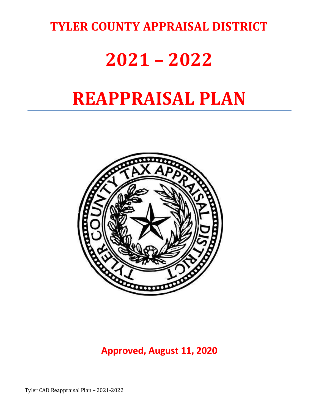# **TYLER COUNTY APPRAISAL DISTRICT**

# **2021 – 2022**

# **REAPPRAISAL PLAN**



# **Approved, August 11, 2020**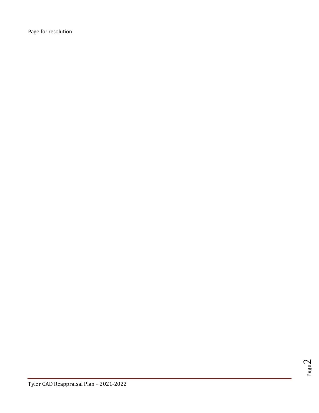Page for resolution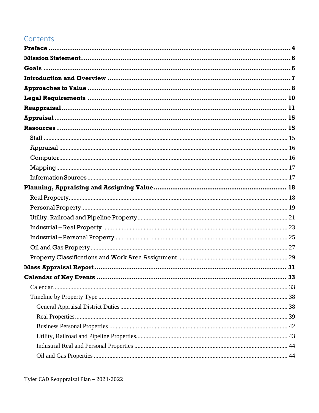# Contents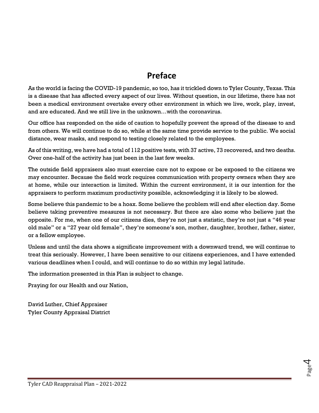# **Preface**

<span id="page-3-0"></span>As the world is facing the COVID-19 pandemic, so too, has it trickled down to Tyler County, Texas. This is a disease that has affected every aspect of our lives. Without question, in our lifetime, there has not been a medical environment overtake every other environment in which we live, work, play, invest, and are educated. And we still live in the unknown…with the coronavirus.

Our office has responded on the side of caution to hopefully prevent the spread of the disease to and from others. We will continue to do so, while at the same time provide service to the public. We social distance, wear masks, and respond to testing closely related to the employees.

As of this writing, we have had a total of 112 positive tests, with 37 active, 73 recovered, and two deaths. Over one-half of the activity has just been in the last few weeks.

The outside field appraisers also must exercise care not to expose or be exposed to the citizens we may encounter. Because the field work requires communication with property owners when they are at home, while our interaction is limited. Within the current environment, it is our intention for the appraisers to perform maximum productivity possible, acknowledging it is likely to be slowed.

Some believe this pandemic to be a hoax. Some believe the problem will end after election day. Some believe taking preventive measures is not necessary. But there are also some who believe just the opposite. For me, when one of our citizens dies, they're not just a statistic, they're not just a "46 year old male" or a "27 year old female", they're someone's son, mother, daughter, brother, father, sister, or a fellow employee.

Unless and until the data shows a significate improvement with a downward trend, we will continue to treat this seriously. However, I have been sensitive to our citizens experiences, and I have extended various deadlines when I could, and will continue to do so within my legal latitude.

The information presented in this Plan is subject to change.

Praying for our Health and our Nation,

David Luther, Chief Appraiser Tyler County Appraisal District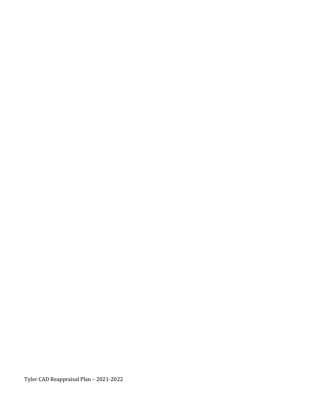Tyler CAD Reappraisal Plan – 2021-2022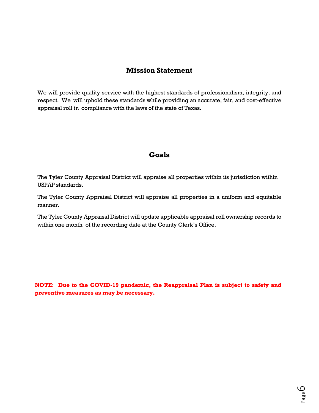#### **Mission Statement**

<span id="page-5-0"></span>We will provide quality service with the highest standards of professionalism, integrity, and respect. We will uphold these standards while providing an accurate, fair, and cost-effective appraisal roll in compliance with the laws of the state of Texas.

# **Goals**

<span id="page-5-1"></span>The Tyler County Appraisal District will appraise all properties within its jurisdiction within USPAP standards.

The Tyler County Appraisal District will appraise all properties in a uniform and equitable manner.

The Tyler County Appraisal District will update applicable appraisal roll ownership records to within one month of the recording date at the County Clerk's Office.

**NOTE: Due to the COVID-19 pandemic, the Reappraisal Plan is subject to safety and preventive measures as may be necessary.**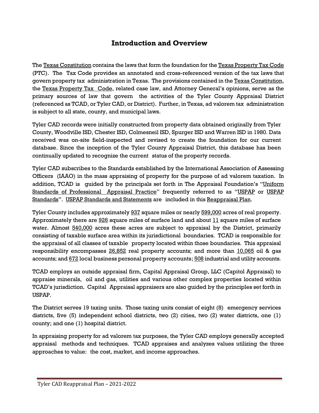# **Introduction and Overview**

<span id="page-6-0"></span>The Texas Constitution contains the laws that form the foundation for the Texas Property Tax Code (PTC). The Tax Code provides an annotated and cross-referenced version of the tax laws that govern property tax administration in Texas. The provisions contained in the Texas Constitution, the Texas Property Tax Code, related case law, and Attorney General's opinions, serve as the primary sources of law that govern the activities of the Tyler County Appraisal District (referenced as TCAD, or Tyler CAD, or District). Further, in Texas, ad valorem tax administration is subject to all state, county, and municipal laws.

Tyler CAD records were initially constructed from property data obtained originally from Tyler County, Woodville ISD, Chester ISD, Colmesneil ISD, Spurger ISD and Warren ISD in 1980. Data received was on-site field-inspected and revised to create the foundation for our current database. Since the inception of the Tyler County Appraisal District, this database has been continually updated to recognize the current status of the property records.

Tyler CAD subscribes to the Standards established by the International Association of Assessing Officers (IAAO) in the mass appraising of property for the purpose of ad valorem taxation. In addition, TCAD is guided by the principals set forth in The Appraisal Foundation's "Uniform Standards of Professional Appraisal Practice" frequently referred to as "USPAP or USPAP Standards". USPAP Standards and Statements are included in this Reappraisal Plan.

Tyler County includes approximately 937 square miles or nearly 599,000 acres of real property. Approximately there are  $926$  square miles of surface land and about 11 square miles of surface water. Almost 540,000 acres these acres are subject to appraisal by the District, primarily consisting of taxable surface area within its jurisdictional boundaries. TCAD is responsible for the appraisal of all classes of taxable property located within those boundaries. This appraisal responsibility encompasses  $26,852$  real property accounts; and more than  $10,065$  oil & gas accounts; and 672 local business personal property accounts; 508 industrial and utility accounts.

TCAD employs an outside appraisal firm, Capital Appraisal Group, LLC (Capitol Appraisal) to appraise minerals, oil and gas, utilities and various other complex properties located within TCAD's jurisdiction. Capital Appraisal appraisers are also guided by the principles set forth in USPAP.

The District serves 19 taxing units. Those taxing units consist of eight (8) emergency services districts, five (5) independent school districts, two (2) cities, two (2) water districts, one (1) county; and one (1) hospital district.

In appraising property for ad valorem tax purposes, the Tyler CAD employs generally accepted appraisal methods and techniques. TCAD appraises and analyzes values utilizing the three approaches to value: the cost, market, and income approaches.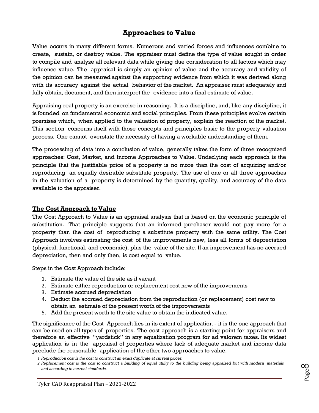# **Approaches to Value**

<span id="page-7-0"></span>Value occurs in many different forms. Numerous and varied forces and influences combine to create, sustain, or destroy value. The appraiser must define the type of value sought in order to compile and analyze all relevant data while giving due consideration to all factors which may influence value. The appraisal is simply an opinion of value and the accuracy and validity of the opinion can be measured against the supporting evidence from which it was derived along with its accuracy against the actual behavior of the market. An appraiser must adequately and fully obtain, document, and then interpret the evidence into a final estimate of value.

Appraising real property is an exercise in reasoning. It is a discipline, and, like any discipline, it is founded on fundamental economic and social principles. From these principles evolve certain premises which, when applied to the valuation of property, explain the reaction of the market. This section concerns itself with those concepts and principles basic to the property valuation process. One cannot overstate the necessity of having a workable understanding of them.

The processing of data into a conclusion of value, generally takes the form of three recognized approaches: Cost, Market, and Income Approaches to Value. Underlying each approach is the principle that the justifiable price of a property is no more than the cost of acquiring and/or reproducing an equally desirable substitute property. The use of one or all three approaches in the valuation of a property is determined by the quantity, quality, and accuracy of the data available to the appraiser.

#### **The Cost Approach to Value**

The Cost Approach to Value is an appraisal analysis that is based on the economic principle of substitution. That principle suggests that an informed purchaser would not pay more for a property than the cost of reproducing a substitute property with the same utility. The Cost Approach involves estimating the cost of the improvements new, less all forms of depreciation (physical, functional, and economic), plus the value of the site. If an improvement has no accrued depreciation, then and only then, is cost equal to value.

Steps in the Cost Approach include:

- 1. Estimate the value of the site as if vacant
- 2. Estimate either reproduction or replacement cost new of the improvements
- 3. Estimate accrued depreciation
- 4. Deduct the accrued depreciation from the reproduction (or replacement) cost new to obtain an estimate of the present worth of the improvements
- 5. Add the present worth to the site value to obtain the indicated value.

The significance of the Cost Approach lies in its extent of application - it is the one approach that can be used on all types of properties. The cost approach is a starting point for appraisers and therefore an effective "yardstick" in any equalization program for ad valorem taxes. Its widest application is in the appraisal of properties where lack of adequate market and income data preclude the reasonable application of the other two approaches to value.

*<sup>1</sup> Reproduction cost is the cost to construct an exact duplicate at current prices.*

<sup>2</sup> Replacement cost is the cost to construct a building of equal utility to the building being appraised but with modern materials *and according to current standards.*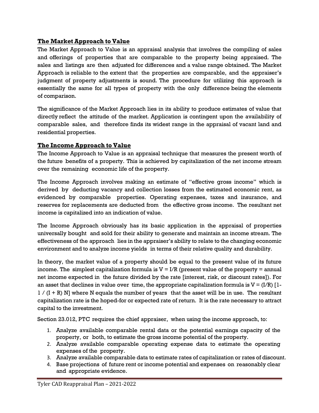#### **The Market Approach to Value**

The Market Approach to Value is an appraisal analysis that involves the compiling of sales and offerings of properties that are comparable to the property being appraised. The sales and listings are then adjusted for differences and a value range obtained. The Market Approach is reliable to the extent that the properties are comparable, and the appraiser's judgment of property adjustments is sound. The procedure for utilizing this approach is essentially the same for all types of property with the only difference being the elements of comparison.

The significance of the Market Approach lies in its ability to produce estimates of value that directly reflect the attitude of the market. Application is contingent upon the availability of comparable sales, and therefore finds its widest range in the appraisal of vacant land and residential properties.

#### **The Income Approach to Value**

The Income Approach to Value is an appraisal technique that measures the present worth of the future benefits of a property. This is achieved by capitalization of the net income stream over the remaining economic life of the property.

The Income Approach involves making an estimate of "effective gross income" which is derived by deducting vacancy and collection losses from the estimated economic rent, as evidenced by comparable properties. Operating expenses, taxes and insurance, and reserves for replacements are deducted from the effective gross income. The resultant net income is capitalized into an indication of value.

The Income Approach obviously has its basic application in the appraisal of properties universally bought and sold for their ability to generate and maintain an income stream. The effectiveness of the approach lies in the appraiser's ability to relate to the changing economic environment and to analyze income yields in terms of their relative quality and durability.

In theory, the market value of a property should be equal to the present value of its future income. The simplest capitalization formula is  $V = I/R$  (present value of the property = annual net income expected in the future divided by the rate [interest, risk, or discount rates]). For an asset that declines in value over time, the appropriate capitalization formula is  $V = (I/R)$  [1- $1/(I + R)$  N] where N equals the number of years that the asset will be in use. The resultant capitalization rate is the hoped-for or expected rate of return. It is the rate necessary to attract capital to the investment.

Section 23.012, PTC requires the chief appraiser, when using the income approach, to:

- 1. Analyze available comparable rental data or the potential earnings capacity of the property, or both, to estimate the gross income potential of the property.
- 2. Analyze available comparable operating expense data to estimate the operating expenses of the property.
- 3. Analyze available comparable data to estimate rates of capitalization or rates of discount.
- 4. Base projections of future rent or income potential and expenses on reasonably clear and appropriate evidence.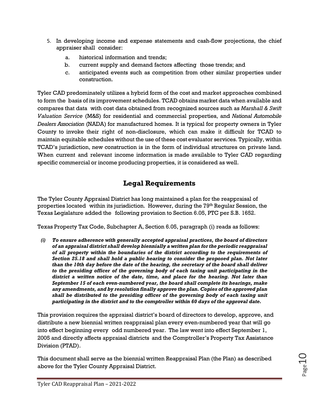- 5. In developing income and expense statements and cash-flow projections, the chief appraiser shall consider:
	- a. historical information and trends;
	- b. current supply and demand factors affecting those trends; and
	- c. anticipated events such as competition from other similar properties under construction.

Tyler CAD predominately utilizes a hybrid form of the cost and market approaches combined to form the basis of its improvement schedules. TCAD obtains market data when available and compares that data with cost data obtained from recognized sources such as *Marshall & Swift Valuation Service* (M&S) for residential and commercial properties, and *National Automobile Dealers Association* (NADA) for manufactured homes. It is typical for property owners in Tyler County to invoke their right of non-disclosure, which can make it difficult for TCAD to maintain equitable schedules without the use of these cost evaluator services. Typically, within TCAD's jurisdiction, new construction is in the form of individual structures on private land. When current and relevant income information is made available to Tyler CAD regarding specific commercial or income producing properties, it is considered as well.

# **Legal Requirements**

<span id="page-9-0"></span>The Tyler County Appraisal District has long maintained a plan for the reappraisal of properties located within its jurisdiction. However, during the 79th Regular Session, the Texas Legislature added the following provision to Section 6.05, PTC per S.B. 1652.

Texas Property Tax Code, Subchapter A, Section 6.05, paragraph (i) reads as follows:

*(i) To ensure adherence with generally accepted appraisal practices, the board of directors of an appraisal district shall develop biennially a written plan for the periodic reappraisal of all property within the boundaries of the district according to the requirements of Section 25.18 and shall hold a public hearing to consider the proposed plan. Not later than the 10th day before the date of the hearing, the secretary of the board shall deliver to the presiding officer of the governing body of each taxing unit participating in the district a written notice of the date, time, and place for the hearing. Not later than September 15 of each even-numbered year, the board shall complete its hearings, make any amendments, and by resolution finally approve the plan. Copies of the approved plan shall be distributed to the presiding officer of the governing body of each taxing unit participating in the district and to the comptroller within 60 days of the approval date.*

This provision requires the appraisal district's board of directors to develop, approve, and distribute a new biennial written reappraisal plan every even-numbered year that will go into effect beginning every odd numbered year. The law went into effect September 1, 2005 and directly affects appraisal districts and the Comptroller's Property Tax Assistance Division (PTAD).

This document shall serve as the biennial written Reappraisal Plan (the Plan) as described above for the Tyler County Appraisal District.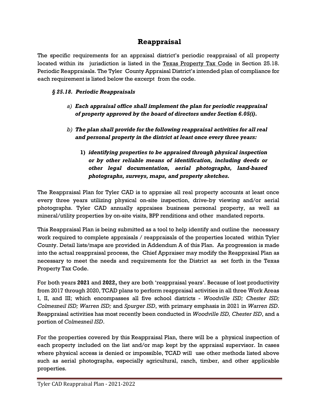# **Reappraisal**

<span id="page-10-0"></span>The specific requirements for an appraisal district's periodic reappraisal of all property located within its jurisdiction is listed in the Texas Property Tax Code in Section 25.18. Periodic Reappraisals. The Tyler County Appraisal District's intended plan of compliance for each requirement is listed below the excerpt from the code.

#### *§ 25.18. Periodic Reappraisals*

- *a) Each appraisal office shall implement the plan for periodic reappraisal of property approved by the board of directors under Section 6.05(i).*
- *b) The plan shall provide for the following reappraisal activities for all real and personal property in the district at least once every three years:*
	- **1)** *identifying properties to be appraised through physical inspection or by other reliable means of identification, including deeds or other legal documentation, aerial photographs, land-based photographs, surveys, maps, and property sketches.*

The Reappraisal Plan for Tyler CAD is to appraise all real property accounts at least once every three years utilizing physical on-site inspection, drive-by viewing and/or aerial photographs. Tyler CAD annually appraises business personal property, as well as mineral/utility properties by on-site visits, BPP renditions and other mandated reports.

This Reappraisal Plan is being submitted as a tool to help identify and outline the necessary work required to complete appraisals / reappraisals of the properties located within Tyler County. Detail lists/maps are provided in Addendum A of this Plan. As progression is made into the actual reappraisal process, the Chief Appraiser may modify the Reappraisal Plan as necessary to meet the needs and requirements for the District as set forth in the Texas Property Tax Code.

For both years **2021** and **2022,** they are both 'reappraisal years'. Because of lost productivity from 2017 through 2020, TCAD plans to perform reappraisal activities in all three Work Areas I, II, and III; which encompasses all five school districts - *Woodville ISD; Chester ISD; Colmesneil ISD; Warren ISD;* and *Spurger ISD*, with primary emphasis in 2021 in *Warren ISD*. Reappraisal activities has most recently been conducted in *Woodville ISD, Chester ISD*, and a portion of *Colmesneil ISD*.

For the properties covered by this Reappraisal Plan, there will be a physical inspection of each property included on the list and/or map kept by the appraisal supervisor. In cases where physical access is denied or impossible, TCAD will use other methods listed above such as aerial photographs, especially agricultural, ranch, timber, and other applicable properties.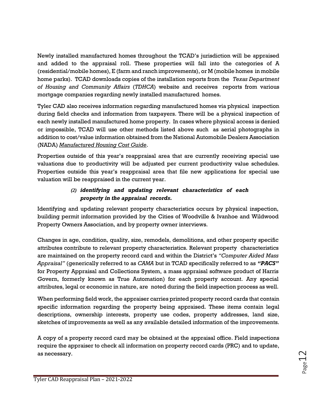Newly installed manufactured homes throughout the TCAD's jurisdiction will be appraised and added to the appraisal roll. These properties will fall into the categories of A (residential/mobile homes), E (farm and ranch improvements), or M (mobile homes in mobile home parks). TCAD downloads copies of the installation reports from the *Texas Department of Housing and Community Affairs* (*TDHCA*) website and receives reports from various mortgage companies regarding newly installed manufactured homes.

Tyler CAD also receives information regarding manufactured homes via physical inspection during field checks and information from taxpayers. There will be a physical inspection of each newly installed manufactured home property. In cases where physical access is denied or impossible, TCAD will use other methods listed above such as aerial photographs in addition to cost/value information obtained from the National Automobile Dealers Association (NADA) *Manufactured Housing Cost Guide*.

Properties outside of this year's reappraisal area that are currently receiving special use valuations due to productivity will be adjusted per current productivity value schedules. Properties outside this year's reappraisal area that file new applications for special use valuation will be reappraised in the current year.

#### *(2) identifying and updating relevant characteristics of each property in the appraisal records.*

Identifying and updating relevant property characteristics occurs by physical inspection, building permit information provided by the Cities of Woodville & Ivanhoe and Wildwood Property Owners Association, and by property owner interviews.

Changes in age, condition, quality, size, remodels, demolitions, and other property specific attributes contribute to relevant property characteristics. Relevant property characteristics are maintained on the property record card and within the District's *"Computer Aided Mass Appraisal"* (generically referred to as *CAMA* but in TCAD specifically referred to as *"PACS"* for Property Appraisal and Collections System, a mass appraisal software product of Harris Govern, formerly known as True Automation) for each property account. Any special attributes, legal or economic in nature, are noted during the field inspection process as well.

When performing field work, the appraiser carries printed property record cards that contain specific information regarding the property being appraised. These items contain legal descriptions, ownership interests, property use codes, property addresses, land size, sketches of improvements as well as any available detailed information of the improvements.

A copy of a property record card may be obtained at the appraisal office. Field inspections require the appraiser to check all information on property record cards (PRC) and to update, as necessary.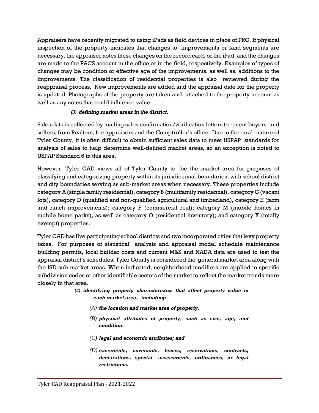Appraisers have recently migrated to using iPads as field devices in place of PRC. If physical inspection of the property indicates that changes to improvements or land segments are necessary, the appraiser notes these changes on the record card, or the iPad, and the changes are made to the PACS account in the office or in the field, respectively. Examples of types of changes may be condition or effective age of the improvements, as well as, additions to the improvements. The classification of residential properties is also reviewed during the reappraisal process. New improvements are added and the appraisal date for the property is updated. Photographs of the property are taken and attached to the property account as well as any notes that could influence value.

#### *(3) defining market areas in the district.*

Sales data is collected by mailing sales confirmation/verification letters to recent buyers and sellers, from Realtors, fee appraisers and the Comptroller's office. Due to the rural nature of Tyler County, it is often difficult to obtain sufficient sales data to meet USPAP standards for analysis of sales to help determine well-defined market areas, so an exception is noted to USPAP Standard 6 in this area.

However, Tyler CAD views all of Tyler County to be the market area for purposes of classifying and categorizing property within its jurisdictional boundaries; with school district and city boundaries serving as sub-market areas when necessary. These properties include category A (single family residential), category B (multifamily residential), category C (vacant lots), category D (qualified and non-qualified agricultural and timberland), category E (farm and ranch improvements); category F (commercial real); category M (mobile homes in mobile home parks), as well as category O (residential inventory); and category X (totally exempt) properties.

Tyler CAD has five participating school districts and two incorporated cities that levy property taxes. For purposes of statistical analysis and appraisal model schedule maintenance building permits, local builder costs and current M&S and NADA data are used to test the appraisal district's schedules. Tyler County is considered the general market area along with the ISD sub-market areas. When indicated, neighborhood modifiers are applied to specific subdivision codes or other identifiable sectors of the market to reflect the market trends more closely in that area.

- *(4) identifying property characteristics that affect property value in each market area, including:*
	- *(A) the location and market area of property.*
	- *(B) physical attributes of property, such as size, age, and condition.*
	- *(C) legal and economic attributes; and*
	- *(D) easements, covenants, leases, reservations, contracts, declarations, special assessments, ordinances, or legal restrictions.*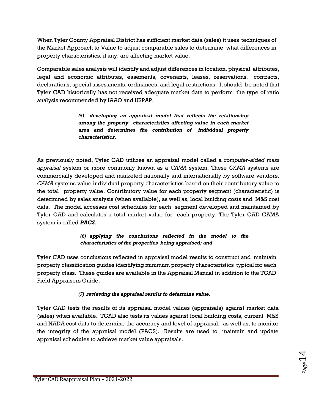When Tyler County Appraisal District has sufficient market data (sales) it uses techniques of the Market Approach to Value to adjust comparable sales to determine what differences in property characteristics, if any, are affecting market value.

Comparable sales analysis will identify and adjust differences in location, physical attributes, legal and economic attributes, easements, covenants, leases, reservations, contracts, declarations, special assessments, ordinances, and legal restrictions. It should be noted that Tyler CAD historically has not received adequate market data to perform the type of ratio analysis recommended by IAAO and USPAP.

> *(5) developing an appraisal model that reflects the relationship among the property characteristics affecting value in each market area and determines the contribution of individual property characteristics.*

As previously noted, Tyler CAD utilizes an appraisal model called a *computer-aided mass appraisal* system or more commonly known as a *CAMA* system. These *CAMA* systems are commercially developed and marketed nationally and internationally by software vendors. *CAMA* systems value individual property characteristics based on their contributory value to the total property value. Contributory value for each property segment (characteristic) is determined by sales analysis (when available), as well as, local building costs and M&S cost data. The model accesses cost schedules for each segment developed and maintained by Tyler CAD and calculates a total market value for each property. The Tyler CAD CAMA system is called *PACS*.

#### *(6) applying the conclusions reflected in the model to the characteristics of the properties being appraised; and*

Tyler CAD uses conclusions reflected in appraisal model results to construct and maintain property classification guides identifying minimum property characteristics typical for each property class. These guides are available in the Appraisal Manual in addition to the TCAD Field Appraisers Guide.

#### *(7) reviewing the appraisal results to determine value.*

Tyler CAD tests the results of its appraisal model values (appraisals) against market data (sales) when available. TCAD also tests its values against local building costs, current M&S and NADA cost data to determine the accuracy and level of appraisal, as well as, to monitor the integrity of the appraisal model (PACS). Results are used to maintain and update appraisal schedules to achieve market value appraisals.

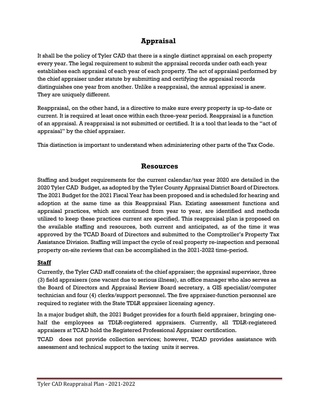# **Appraisal**

<span id="page-14-0"></span>It shall be the policy of Tyler CAD that there is a single distinct appraisal on each property every year. The legal requirement to submit the appraisal records under oath each year establishes each appraisal of each year of each property. The act of appraisal performed by the chief appraiser under statute by submitting and certifying the appraisal records distinguishes one year from another. Unlike a reappraisal, the annual appraisal is anew. They are uniquely different.

Reappraisal, on the other hand, is a directive to make sure every property is up-to-date or current. It is required at least once within each three-year period. Reappraisal is a function of an appraisal. A reappraisal is not submitted or certified. It is a tool that leads to the "act of appraisal" by the chief appraiser.

<span id="page-14-1"></span>This distinction is important to understand when administering other parts of the Tax Code.

### **Resources**

Staffing and budget requirements for the current calendar/tax year 2020 are detailed in the 2020 Tyler CAD Budget, as adopted by the Tyler County Appraisal District Board of Directors. The 2021 Budget for the 2021 Fiscal Year has been proposed and is scheduled for hearing and adoption at the same time as this Reappraisal Plan. Existing assessment functions and appraisal practices, which are continued from year to year, are identified and methods utilized to keep these practices current are specified. This reappraisal plan is proposed on the available staffing and resources, both current and anticipated, as of the time it was approved by the TCAD Board of Directors and submitted to the Comptroller's Property Tax Assistance Division. Staffing will impact the cycle of real property re-inspection and personal property on-site reviews that can be accomplished in the 2021-2022 time-period.

#### <span id="page-14-2"></span>**Staff**

Currently, the Tyler CAD staff consists of: the chief appraiser; the appraisal supervisor, three (3) field appraisers (one vacant due to serious illness), an office manager who also serves as the Board of Directors and Appraisal Review Board secretary, a GIS specialist/computer technician and four (4) clerks/support personnel. The five appraiser-function personnel are required to register with the State TDLR appraiser licensing agency.

In a major budget shift, the 2021 Budget provides for a fourth field appraiser, bringing onehalf the employees as TDLR-registered appraisers. Currently, all TDLR-registered appraisers at TCAD hold the Registered Professional Appraiser certification.

TCAD does not provide collection services; however, TCAD provides assistance with assessment and technical support to the taxing units it serves.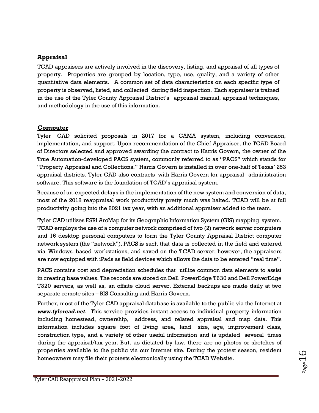## <span id="page-15-0"></span>**Appraisal**

TCAD appraisers are actively involved in the discovery, listing, and appraisal of all types of property. Properties are grouped by location, type, use, quality, and a variety of other quantitative data elements. A common set of data characteristics on each specific type of property is observed, listed, and collected during field inspection. Each appraiser is trained in the use of the Tyler County Appraisal District's appraisal manual, appraisal techniques, and methodology in the use of this information.

#### <span id="page-15-1"></span>**Computer**

Tyler CAD solicited proposals in 2017 for a CAMA system, including conversion, implementation, and support. Upon recommendation of the Chief Appraiser, the TCAD Board of Directors selected and approved awarding the contract to Harris Govern, the owner of the True Automation-developed PACS system, commonly referred to as "PACS" which stands for "Property Appraisal and Collections." Harris Govern is installed in over one-half of Texas' 253 appraisal districts. Tyler CAD also contracts with Harris Govern for appraisal administration software. This software is the foundation of TCAD's appraisal system.

Because of un-expected delays in the implementation of the new system and conversion of data, most of the 2018 reappraisal work productivity pretty much was halted. TCAD will be at full productivity going into the 2021 tax year, with an additional appraiser added to the team.

Tyler CAD utilizes ESRI ArcMap for its Geographic Information System (GIS) mapping system. TCAD employs the use of a computer network comprised of two (2) network server computers and 16 desktop personal computers to form the Tyler County Appraisal District computer network system (the "network"). PACS is such that data is collected in the field and entered via Windows- based workstations, and saved on the TCAD server; however, the appraisers are now equipped with iPads as field devices which allows the data to be entered "real time".

PACS contains cost and depreciation schedules that utilize common data elements to assist in creating base values. The records are stored on Dell PowerEdge T630 and Dell PowerEdge T320 servers, as well as, an offsite cloud server. External backups are made daily at two separate remote sites – BIS Consulting and Harris Govern.

Further, most of the Tyler CAD appraisal database is available to the public via the Internet at *[www.tylercad.net](http://www.tylercad.net/)*. This service provides instant access to individual property information including homestead, ownership, address, and related appraisal and map data. This information includes square foot of living area, land size, age, improvement class, construction type, and a variety of other useful information and is updated several times during the appraisal/tax year. But, as dictated by law, there are no photos or sketches of properties available to the public via our Internet site. During the protest season, resident homeowners may file their protests electronically using the TCAD Website.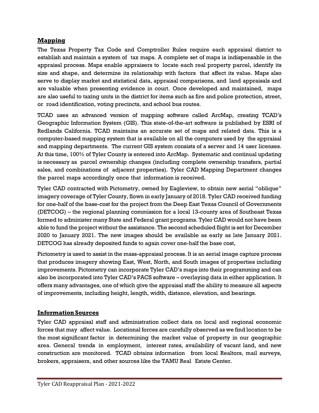#### <span id="page-16-0"></span>**Mapping**

The Texas Property Tax Code and Comptroller Rules require each appraisal district to establish and maintain a system of tax maps. A complete set of maps is indispensable in the appraisal process. Maps enable appraisers to locate each real property parcel, identify its size and shape, and determine its relationship with factors that affect its value. Maps also serve to display market and statistical data, appraisal comparisons, and land appraisals and are valuable when presenting evidence in court. Once developed and maintained, maps are also useful to taxing units in the district for items such as fire and police protection, street, or road identification, voting precincts, and school bus routes.

TCAD uses an advanced version of mapping software called ArcMap, creating TCAD's Geographic Information System (GIS). This state-of-the-art software is published by ESRI of Redlands California. TCAD maintains an accurate set of maps and related data. This is a computer-based mapping system that is available on all the computers used by the appraisal and mapping departments. The current GIS system consists of a server and 14 user licenses. At this time, 100% of Tyler County is entered into ArcMap. Systematic and continual updating is necessary as parcel ownership changes (including complete ownership transfers, partial sales, and combinations of adjacent properties). Tyler CAD Mapping Department changes the parcel maps accordingly once that information is received.

Tyler CAD contracted with Pictometry, owned by Eagleview, to obtain new aerial "oblique" imagery coverage of Tyler County, flown in early January of 2018. Tyler CAD received funding for one-half of the base-cost for the project from the Deep East Texas Council of Governments (DETCOG) – the regional planning commission for a local 13-county area of Southeast Texas formed to administer many State and Federal grant programs. Tyler CAD would not have been able to fund the project without the assistance. The second scheduled flight is set for December 2020 to January 2021. The new images should be available as early as late January 2021. DETCOG has already deposited funds to again cover one-half the base cost,

Pictometry is used to assist in the mass-appraisal process. It is an aerial image capture process that produces imagery showing East, West, North, and South images of properties including improvements. Pictometry can incorporate Tyler CAD's maps into their programming and can also be incorporated into Tyler CAD's PACS software – overlaying data in either application. It offers many advantages, one of which give the appraisal staff the ability to measure all aspects of improvements, including height, length, width, distance, elevation, and bearings.

#### <span id="page-16-1"></span>**Information Sources**

Tyler CAD appraisal staff and administration collect data on local and regional economic forces that may affect value. Locational forces are carefully observed as we find location to be the most significant factor in determining the market value of property in our geographic area. General trends in employment, interest rates, availability of vacant land, and new construction are monitored. TCAD obtains information from local Realtors, mail surveys, brokers, appraisers, and other sources like the TAMU Real Estate Center.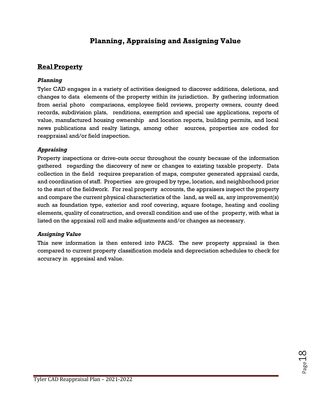# **Planning, Appraising and Assigning Value**

# <span id="page-17-1"></span><span id="page-17-0"></span>**Real Property**

#### *Planning*

Tyler CAD engages in a variety of activities designed to discover additions, deletions, and changes to data elements of the property within its jurisdiction. By gathering information from aerial photo comparisons, employee field reviews, property owners, county deed records, subdivision plats, renditions, exemption and special use applications, reports of value, manufactured housing ownership and location reports, building permits, and local news publications and realty listings, among other sources, properties are coded for reappraisal and/or field inspection.

#### *Appraising*

Property inspections or drive-outs occur throughout the county because of the information gathered regarding the discovery of new or changes to existing taxable property. Data collection in the field requires preparation of maps, computer generated appraisal cards, and coordination of staff. Properties are grouped by type, location, and neighborhood prior to the start of the fieldwork. For real property accounts, the appraisers inspect the property and compare the current physical characteristics of the land, as well as, any improvement(s) such as foundation type, exterior and roof covering, square footage, heating and cooling elements, quality of construction, and overall condition and use of the property, with what is listed on the appraisal roll and make adjustments and/or changes as necessary.

#### *Assigning Value*

This new information is then entered into PACS. The new property appraisal is then compared to current property classification models and depreciation schedules to check for accuracy in appraisal and value.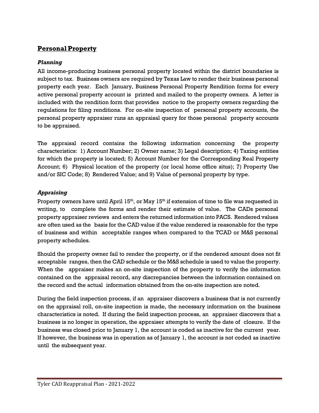# <span id="page-18-0"></span>**PersonalProperty**

#### *Planning*

All income-producing business personal property located within the district boundaries is subject to tax. Business owners are required by Texas Law to render their business personal property each year. Each January, Business Personal Property Rendition forms for every active personal property account is printed and mailed to the property owners. A letter is included with the rendition form that provides notice to the property owners regarding the regulations for filing renditions. For on-site inspection of personal property accounts, the personal property appraiser runs an appraisal query for those personal property accounts to be appraised.

The appraisal record contains the following information concerning the property characteristics: 1) Account Number; 2) Owner name; 3) Legal description; 4) Taxing entities for which the property is located; 5) Account Number for the Corresponding Real Property Account; 6) Physical location of the property (or local home office situs); 7) Property Use and/or SIC Code; 8) Rendered Value; and 9) Value of personal property by type.

#### *Appraising*

Property owners have until April  $15^{\text{th}}$ , or May  $15^{\text{th}}$  if extension of time to file was requested in writing, to complete the forms and render their estimate of value. The CADs personal property appraiser reviews and enters the returned information into PACS. Rendered values are often used as the basis for the CAD value if the value rendered is reasonable for the type of business and within acceptable ranges when compared to the TCAD or M&S personal property schedules.

Should the property owner fail to render the property, or if the rendered amount does not fit acceptable ranges, then the CAD schedule or the M&S schedule is used to value the property. When the appraiser makes an on-site inspection of the property to verify the information contained on the appraisal record, any discrepancies between the information contained on the record and the actual information obtained from the on-site inspection are noted.

During the field inspection process, if an appraiser discovers a business that is not currently on the appraisal roll, on-site inspection is made, the necessary information on the business characteristics is noted. If during the field inspection process, an appraiser discovers that a business is no longer in operation, the appraiser attempts to verify the date of closure. If the business was closed prior to January 1, the account is coded as inactive for the current year. If however, the business was in operation as of January 1, the account is not coded as inactive until the subsequent year.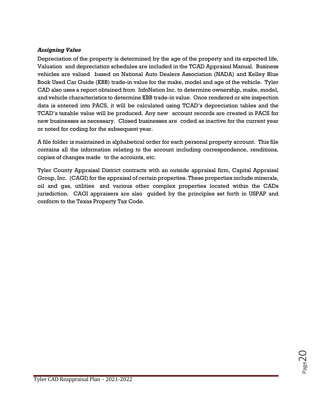#### *Assigning Value*

Depreciation of the property is determined by the age of the property and its expected life. Valuation and depreciation schedules are included in the TCAD Appraisal Manual. Business vehicles are valued based on National Auto Dealers Association (NADA) and Kelley Blue Book Used Car Guide (KBB) trade-in value for the make, model and age of the vehicle. Tyler CAD also uses a report obtained from InfoNation Inc. to determine ownership, make, model, and vehicle characteristics to determine KBB trade-in value. Once rendered or site inspection data is entered into PACS, it will be calculated using TCAD's depreciation tables and the TCAD's taxable value will be produced. Any new account records are created in PACS for new businesses as necessary. Closed businesses are coded as inactive for the current year or noted for coding for the subsequent year.

A file folder is maintained in alphabetical order for each personal property account. This file contains all the information relating to the account including correspondence, renditions, copies of changes made to the accounts, etc.

Tyler County Appraisal District contracts with an outside appraisal firm, Capital Appraisal Group, Inc. (CAGI) for the appraisal of certain properties. These properties include minerals, oil and gas, utilities and various other complex properties located within the CADs jurisdiction. CAGI appraisers are also guided by the principles set forth in USPAP and conform to the Texas Property Tax Code.

 $P_{\text{age}}$ 20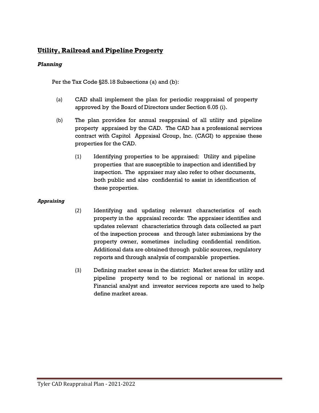# <span id="page-20-0"></span>**Utility, Railroad and Pipeline Property**

#### *Planning*

Per the Tax Code §25.18 Subsections (a) and (b):

- (a) CAD shall implement the plan for periodic reappraisal of property approved by the Board of Directors under Section 6.05 (i).
- (b) The plan provides for annual reappraisal of all utility and pipeline property appraised by the CAD. The CAD has a professional services contract with Capitol Appraisal Group, Inc. (CAGI) to appraise these properties for the CAD.
	- (1) Identifying properties to be appraised: Utility and pipeline properties that are susceptible to inspection and identified by inspection. The appraiser may also refer to other documents, both public and also confidential to assist in identification of these properties.

#### *Appraising*

- (2) Identifying and updating relevant characteristics of each property in the appraisal records: The appraiser identifies and updates relevant characteristics through data collected as part of the inspection process and through later submissions by the property owner, sometimes including confidential rendition. Additional data are obtained through public sources, regulatory reports and through analysis of comparable properties.
- (3) Defining market areas in the district: Market areas for utility and pipeline property tend to be regional or national in scope. Financial analyst and investor services reports are used to help define market areas.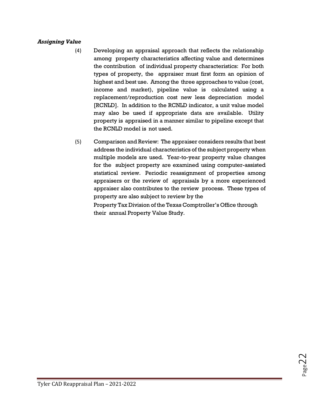#### *Assigning Value*

- (4) Developing an appraisal approach that reflects the relationship among property characteristics affecting value and determines the contribution of individual property characteristics: For both types of property, the appraiser must first form an opinion of highest and best use. Among the three approaches to value (cost, income and market), pipeline value is calculated using a replacement/reproduction cost new less depreciation model [RCNLD]. In addition to the RCNLD indicator, a unit value model may also be used if appropriate data are available. Utility property is appraised in a manner similar to pipeline except that the RCNLD model is not used.
- (5) Comparison and Review: The appraiser considers results that best address the individual characteristics of the subject property when multiple models are used. Year-to-year property value changes for the subject property are examined using computer-assisted statistical review. Periodic reassignment of properties among appraisers or the review of appraisals by a more experienced appraiser also contributes to the review process. These types of property are also subject to review by the

Property Tax Division of the Texas Comptroller's Office through their annual Property Value Study.

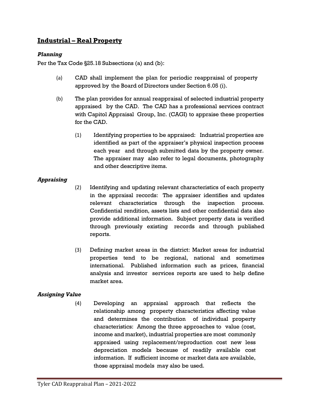# <span id="page-22-0"></span>**Industrial – Real Property**

#### *Planning*

Per the Tax Code §25.18 Subsections (a) and (b):

- (a) CAD shall implement the plan for periodic reappraisal of property approved by the Board of Directors under Section 6.05 (i).
- (b) The plan provides for annual reappraisal of selected industrial property appraised by the CAD. The CAD has a professional services contract with Capitol Appraisal Group, Inc. (CAGI) to appraise these properties for the CAD.
	- (1) Identifying properties to be appraised: Industrial properties are identified as part of the appraiser's physical inspection process each year and through submitted data by the property owner. The appraiser may also refer to legal documents, photography and other descriptive items.

#### *Appraising*

- (2) Identifying and updating relevant characteristics of each property in the appraisal records: The appraiser identifies and updates relevant characteristics through the inspection process. Confidential rendition, assets lists and other confidential data also provide additional information. Subject property data is verified through previously existing records and through published reports.
- (3) Defining market areas in the district: Market areas for industrial properties tend to be regional, national and sometimes international. Published information such as prices, financial analysis and investor services reports are used to help define market area.

#### *Assigning Value*

(4) Developing an appraisal approach that reflects the relationship among property characteristics affecting value and determines the contribution of individual property characteristics: Among the three approaches to value (cost, income and market), industrial properties are most commonly appraised using replacement/reproduction cost new less depreciation models because of readily available cost information. If sufficient income or market data are available, those appraisal models may also be used.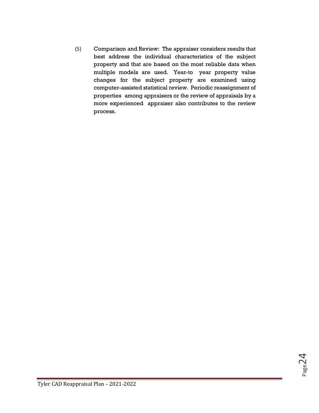(5) Comparison and Review: The appraiser considers results that best address the individual characteristics of the subject property and that are based on the most reliable data when multiple models are used. Year-to year property value changes for the subject property are examined using computer-assisted statistical review. Periodic reassignment of properties among appraisers or the review of appraisals by a more experienced appraiser also contributes to the review process.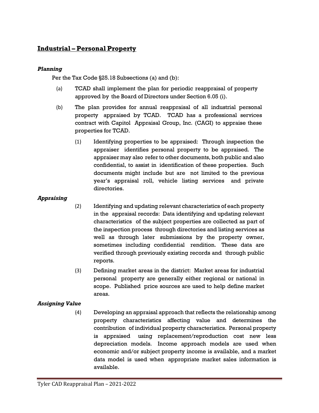# <span id="page-24-0"></span>**Industrial – Personal Property**

#### *Planning*

Per the Tax Code §25.18 Subsections (a) and (b):

- (a) TCAD shall implement the plan for periodic reappraisal of property approved by the Board of Directors under Section 6.05 (i).
- (b) The plan provides for annual reappraisal of all industrial personal property appraised by TCAD. TCAD has a professional services contract with Capitol Appraisal Group, Inc. (CAGI) to appraise these properties for TCAD.
	- (1) Identifying properties to be appraised: Through inspection the appraiser identifies personal property to be appraised. The appraiser may also refer to other documents, both public and also confidential, to assist in identification of these properties. Such documents might include but are not limited to the previous year's appraisal roll, vehicle listing services and private directories.

#### *Appraising*

- (2) Identifying and updating relevant characteristics of each property in the appraisal records: Data identifying and updating relevant characteristics of the subject properties are collected as part of the inspection process through directories and listing services as well as through later submissions by the property owner, sometimes including confidential rendition. These data are verified through previously existing records and through public reports.
- (3) Defining market areas in the district: Market areas for industrial personal property are generally either regional or national in scope. Published price sources are used to help define market areas.

#### *Assigning Value*

(4) Developing an appraisal approach that reflects the relationship among property characteristics affecting value and determines the contribution of individual property characteristics. Personal property is appraised using replacement/reproduction cost new less depreciation models. Income approach models are used when economic and/or subject property income is available, and a market data model is used when appropriate market sales information is available.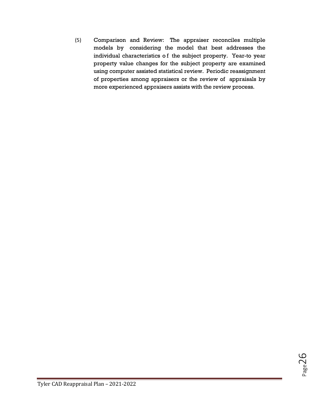(5) Comparison and Review: The appraiser reconciles multiple models by considering the model that best addresses the individual characteristics of the subject property. Year-to year property value changes for the subject property are examined using computer assisted statistical review. Periodic reassignment of properties among appraisers or the review of appraisals by more experienced appraisers assists with the review process.

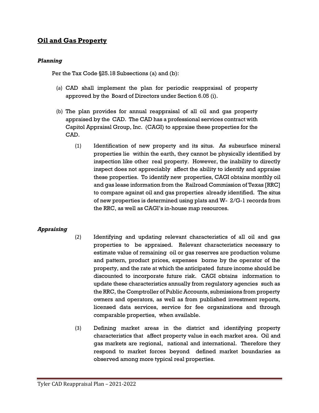# <span id="page-26-0"></span>**Oil and Gas Property**

#### *Planning*

Per the Tax Code §25.18 Subsections (a) and (b):

- (a) CAD shall implement the plan for periodic reappraisal of property approved by the Board of Directors under Section 6.05 (i).
- (b) The plan provides for annual reappraisal of all oil and gas property appraised by the CAD. The CAD has a professional services contract with Capitol Appraisal Group, Inc. (CAGI) to appraise these properties for the CAD.
	- (1) Identification of new property and its situs. As subsurface mineral properties lie within the earth, they cannot be physically identified by inspection like other real property. However, the inability to directly inspect does not appreciably affect the ability to identify and appraise these properties. To identify new properties, CAGI obtains monthly oil and gas lease information from the Railroad Commission of Texas [RRC] to compare against oil and gas properties already identified. The situs of new properties is determined using plats and W- 2/G-1 records from the RRC, as well as CAGI's in-house map resources.

#### *Appraising*

- (2) Identifying and updating relevant characteristics of all oil and gas properties to be appraised. Relevant characteristics necessary to estimate value of remaining oil or gas reserves are production volume and pattern, product prices, expenses borne by the operator of the property, and the rate at which the anticipated future income should be discounted to incorporate future risk. CAGI obtains information to update these characteristics annually from regulatory agencies such as the RRC, the Comptroller of Public Accounts, submissions from property owners and operators, as well as from published investment reports, licensed data services, service for fee organizations and through comparable properties, when available.
- (3) Defining market areas in the district and identifying property characteristics that affect property value in each market area. Oil and gas markets are regional, national and international. Therefore they respond to market forces beyond defined market boundaries as observed among more typical real properties.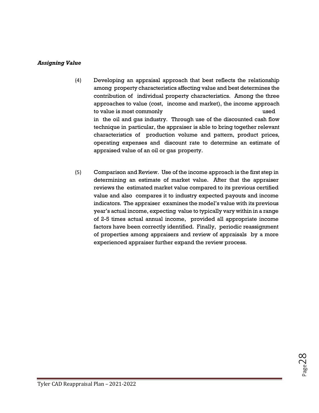#### *Assigning Value*

- (4) Developing an appraisal approach that best reflects the relationship among property characteristics affecting value and best determines the contribution of individual property characteristics. Among the three approaches to value (cost, income and market), the income approach to value is most commonly used in the oil and gas industry. Through use of the discounted cash flow technique in particular, the appraiser is able to bring together relevant characteristics of production volume and pattern, product prices, operating expenses and discount rate to determine an estimate of appraised value of an oil or gas property.
- (5) Comparison and Review. Use of the income approach is the first step in determining an estimate of market value. After that the appraiser reviews the estimated market value compared to its previous certified value and also compares it to industry expected payouts and income indicators. The appraiser examines the model's value with its previous year's actual income, expecting value to typically vary within in a range of 2-5 times actual annual income, provided all appropriate income factors have been correctly identified. Finally, periodic reassignment of properties among appraisers and review of appraisals by a more experienced appraiser further expand the review process.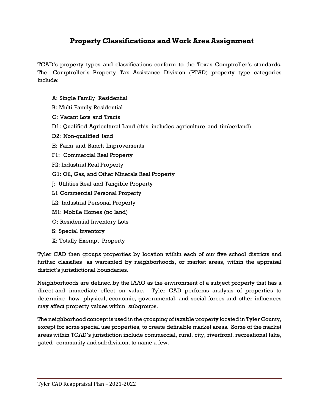# **Property Classifications and Work Area Assignment**

<span id="page-28-0"></span>TCAD's property types and classifications conform to the Texas Comptroller's standards. The Comptroller's Property Tax Assistance Division (PTAD) property type categories include:

- A: Single Family Residential
- B: Multi-Family Residential
- C: Vacant Lots and Tracts
- D1: Qualified Agricultural Land (this includes agriculture and timberland)
- D2: Non-qualified land
- E: Farm and Ranch Improvements
- F1: Commercial Real Property
- F2: Industrial Real Property
- G1: Oil, Gas, and Other Minerals Real Property
- J: Utilities Real and Tangible Property
- L1 Commercial Personal Property
- L2: Industrial Personal Property
- M1: Mobile Homes (no land)
- O: Residential Inventory Lots
- S: Special Inventory
- X: Totally Exempt Property

Tyler CAD then groups properties by location within each of our five school districts and further classifies as warranted by neighborhoods, or market areas, within the appraisal district's jurisdictional boundaries.

Neighborhoods are defined by the IAAO as the environment of a subject property that has a direct and immediate effect on value. Tyler CAD performs analysis of properties to determine how physical, economic, governmental, and social forces and other influences may affect property values within subgroups.

The neighborhood concept is used in the grouping of taxable property located in Tyler County, except for some special use properties, to create definable market areas. Some of the market areas within TCAD's jurisdiction include commercial, rural, city, riverfront, recreational lake, gated community and subdivision, to name a few.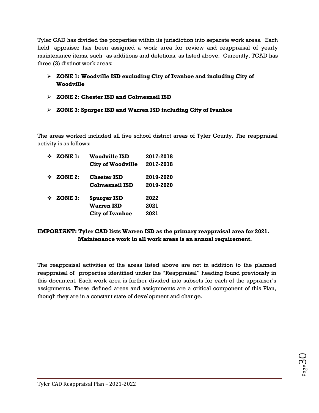Tyler CAD has divided the properties within its jurisdiction into separate work areas. Each field appraiser has been assigned a work area for review and reappraisal of yearly maintenance items, such as additions and deletions, as listed above. Currently, TCAD has three (3) distinct work areas:

#### ➢ **ZONE 1: Woodville ISD excluding City of Ivanhoe and including City of Woodville**

- ➢ **ZONE 2: Chester ISD and Colmesneil ISD**
- ➢ **ZONE 3: Spurger ISD and Warren ISD including City of Ivanhoe**

The areas worked included all five school district areas of Tyler County. The reappraisal activity is as follows:

|  | $\div$ ZONE 1: | <b>Woodville ISD</b><br><b>City of Woodville</b> | 2017-2018<br>2017-2018 |
|--|----------------|--------------------------------------------------|------------------------|
|  | $\div$ ZONE 2: | <b>Chester ISD</b>                               | 2019-2020              |
|  |                | <b>Colmesneil ISD</b>                            | 2019-2020              |
|  | $\div$ ZONE 3: | <b>Spurger ISD</b>                               | 2022                   |
|  |                | Warren ISD                                       | 2021                   |
|  |                | <b>City of Ivanhoe</b>                           | 2021                   |

#### **IMPORTANT: Tyler CAD lists Warren ISD as the primary reappraisal area for 2021. Maintenance work in all work areas is an annual requirement.**

The reappraisal activities of the areas listed above are not in addition to the planned reappraisal of properties identified under the "Reappraisal" heading found previously in this document. Each work area is further divided into subsets for each of the appraiser's assignments. These defined areas and assignments are a critical component of this Plan, though they are in a constant state of development and change.

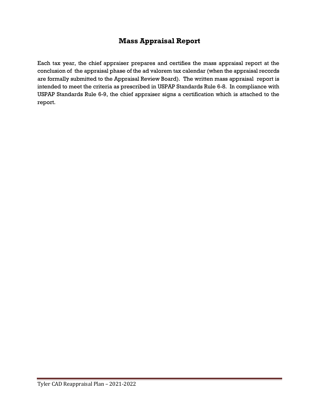# **Mass Appraisal Report**

<span id="page-30-0"></span>Each tax year, the chief appraiser prepares and certifies the mass appraisal report at the conclusion of the appraisal phase of the ad valorem tax calendar (when the appraisal records are formally submitted to the Appraisal Review Board). The written mass appraisal report is intended to meet the criteria as prescribed in USPAP Standards Rule 6-8. In compliance with USPAP Standards Rule 6-9, the chief appraiser signs a certification which is attached to the report.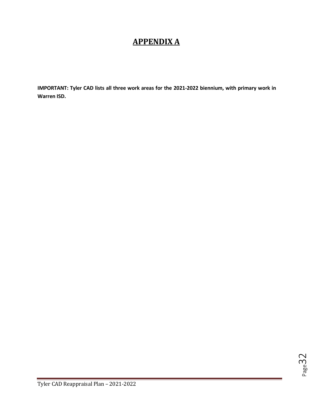# **APPENDIX A**

**IMPORTANT: Tyler CAD lists all three work areas for the 2021-2022 biennium, with primary work in Warren ISD.**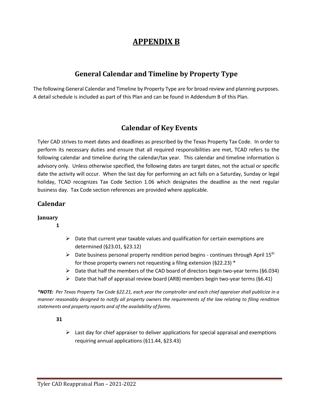# **APPENDIX B**

# **General Calendar and Timeline by Property Type**

The following General Calendar and Timeline by Property Type are for broad review and planning purposes. A detail schedule is included as part of this Plan and can be found in Addendum B of this Plan.

# **Calendar of Key Events**

<span id="page-32-0"></span>Tyler CAD strives to meet dates and deadlines as prescribed by the Texas Property Tax Code. In order to perform its necessary duties and ensure that all required responsibilities are met, TCAD refers to the following calendar and timeline during the calendar/tax year. This calendar and timeline information is advisory only. Unless otherwise specified, the following dates are target dates, not the actual or specific date the activity will occur. When the last day for performing an act falls on a Saturday, Sunday or legal holiday, TCAD recognizes Tax Code Section 1.06 which designates the deadline as the next regular business day. Tax Code section references are provided where applicable.

# <span id="page-32-1"></span>**Calendar**

#### **January**

**1**

- $\triangleright$  Date that current year taxable values and qualification for certain exemptions are determined (§23.01, §23.12)
- $\triangleright$  Date business personal property rendition period begins continues through April 15<sup>th</sup> for those property owners not requesting a filing extension (§22.23) \*
- $\triangleright$  Date that half the members of the CAD board of directors begin two-year terms (§6.034)
- $\triangleright$  Date that half of appraisal review board (ARB) members begin two-year terms (§6.41)

\*NOTE: Per Texas Property Tax Code §22.21, each year the comptroller and each chief appraiser shall publicize in a manner reasonably designed to notify all property owners the requirements of the law relating to filing rendition *statements and property reports and of the availability of forms.*

#### **31**

 $\triangleright$  Last day for chief appraiser to deliver applications for special appraisal and exemptions requiring annual applications (§11.44, §23.43)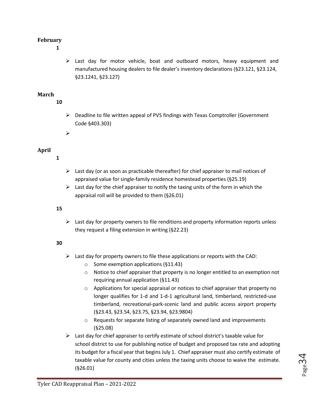#### **February**

**1**

 $\triangleright$  Last day for motor vehicle, boat and outboard motors, heavy equipment and manufactured housing dealers to file dealer's inventory declarations (§23.121, §23.124, §23.1241, §23.127)

#### **March**

**10**

➢ Deadline to file written appeal of PVS findings with Texas Comptroller (Government Code §403.303)

➢

#### **April**

**1**

- $\triangleright$  Last day (or as soon as practicable thereafter) for chief appraiser to mail notices of appraised value for single-family residence homestead properties (§25.19)
- $\triangleright$  Last day for the chief appraiser to notify the taxing units of the form in which the appraisal roll will be provided to them (§26.01)

#### **15**

 $\triangleright$  Last day for property owners to file renditions and property information reports unless they request a filing extension in writing (§22.23)

#### **30**

- $\triangleright$  Last day for property owners to file these applications or reports with the CAD:
	- $\circ$  Some exemption applications (§11.43)
	- $\circ$  Notice to chief appraiser that property is no longer entitled to an exemption not requiring annual application (§11.43)
	- o Applications for special appraisal or notices to chief appraiser that property no longer qualifies for 1-d and 1-d-1 agricultural land, timberland, restricted-use timberland, recreational-park-scenic land and public access airport property (§23.43, §23.54, §23.75, §23.94, §23.9804)
	- o Requests for separate listing of separately owned land and improvements (§25.08)
- $\triangleright$  Last day for chief appraiser to certify estimate of school district's taxable value for school district to use for publishing notice of budget and proposed tax rate and adopting its budget for a fiscal year that begins July 1. Chief appraiser must also certify estimate of taxable value for county and cities unless the taxing units choose to waive the estimate. (§26.01)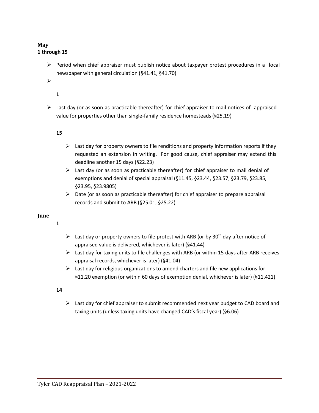#### **May 1 through 15**

 $\triangleright$  Period when chief appraiser must publish notice about taxpayer protest procedures in a local newspaper with general circulation (§41.41, §41.70)

➢

#### **1**

 $\triangleright$  Last day (or as soon as practicable thereafter) for chief appraiser to mail notices of appraised value for properties other than single-family residence homesteads (§25.19)

#### **15**

- $\triangleright$  Last day for property owners to file renditions and property information reports if they requested an extension in writing. For good cause, chief appraiser may extend this deadline another 15 days (§22.23)
- $\triangleright$  Last day (or as soon as practicable thereafter) for chief appraiser to mail denial of exemptions and denial of special appraisal (§11.45, §23.44, §23.57, §23.79, §23.85, §23.95, §23.9805)
- $\triangleright$  Date (or as soon as practicable thereafter) for chief appraiser to prepare appraisal records and submit to ARB (§25.01, §25.22)

#### **June**

**1**

- $\triangleright$  Last day or property owners to file protest with ARB (or by 30<sup>th</sup> day after notice of appraised value is delivered, whichever is later) (§41.44)
- $\triangleright$  Last day for taxing units to file challenges with ARB (or within 15 days after ARB receives appraisal records, whichever is later) (§41.04)
- $\triangleright$  Last day for religious organizations to amend charters and file new applications for §11.20 exemption (or within 60 days of exemption denial, whichever is later) (§11.421)

**14**

 $\triangleright$  Last day for chief appraiser to submit recommended next year budget to CAD board and taxing units (unless taxing units have changed CAD's fiscal year) (§6.06)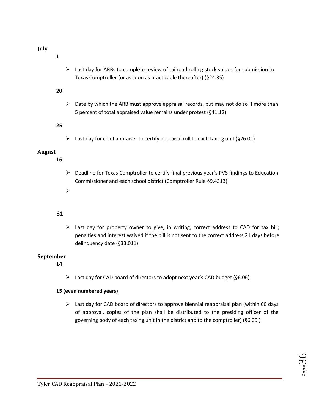#### **July**

**1**

➢ Last day for ARBs to complete review of railroad rolling stock values for submission to Texas Comptroller (or as soon as practicable thereafter) (§24.35)

#### **20**

 $\triangleright$  Date by which the ARB must approve appraisal records, but may not do so if more than 5 percent of total appraised value remains under protest (§41.12)

#### **25**

 $\triangleright$  Last day for chief appraiser to certify appraisal roll to each taxing unit (§26.01)

#### **August**

**16**

- ➢ Deadline for Texas Comptroller to certify final previous year's PVS findings to Education Commissioner and each school district (Comptroller Rule §9.4313)
- ➢
- 31
- $\triangleright$  Last day for property owner to give, in writing, correct address to CAD for tax bill; penalties and interest waived if the bill is not sent to the correct address 21 days before delinquency date (§33.011)

#### **September**

**14**

➢ Last day for CAD board of directors to adopt next year's CAD budget (§6.06)

#### **15 (even numbered years)**

 $\triangleright$  Last day for CAD board of directors to approve biennial reappraisal plan (within 60 days of approval, copies of the plan shall be distributed to the presiding officer of the governing body of each taxing unit in the district and to the comptroller) (§6.05i)

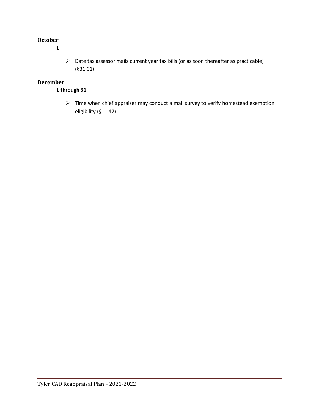#### **October**

**1**

➢ Date tax assessor mails current year tax bills (or as soon thereafter as practicable) (§31.01)

#### **December**

#### **1 through 31**

➢ Time when chief appraiser may conduct a mail survey to verify homestead exemption eligibility (§11.47)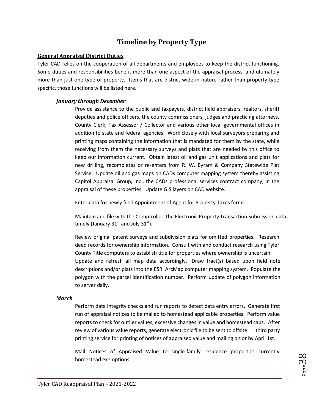# **Timeline by Property Type**

#### <span id="page-37-1"></span><span id="page-37-0"></span>**General Appraisal District Duties**

Tyler CAD relies on the cooperation of all departments and employees to keep the district functioning. Some duties and responsibilities benefit more than one aspect of the appraisal process, and ultimately more than just one type of property. Items that are district wide in nature rather than property type specific, those functions will be listed here.

#### *January through December*

Provide assistance to the public and taxpayers, district field appraisers, realtors, sheriff deputies and police officers, the county commissioners, judges and practicing attorneys, County Clerk, Tax Assessor / Collector and various other local governmental offices in addition to state and federal agencies. Work closely with local surveyors preparing and printing maps containing the information that is mandated for them by the state, while receiving from them the necessary surveys and plats that are needed by this office to keep our information current. Obtain latest oil and gas unit applications and plats for new drilling, recompletes or re-enters from R. W. Byram & Company Statewide Plat Service. Update oil and gas maps on CADs computer mapping system thereby assisting Capitol Appraisal Group, Inc., the CADs professional services contract company, in the appraisal of these properties. Update GIS layers on CAD website.

Enter data for newly filed Appointment of Agent for Property Taxes forms.

Maintain and file with the Comptroller, the Electronic Property Transaction Submission data timely (January  $31<sup>st</sup>$  and July  $31<sup>st</sup>$ ).

Review original patent surveys and subdivision plats for omitted properties. Research deed records for ownership information. Consult with and conduct research using Tyler County Title computers to establish title for properties where ownership is uncertain. Update and refresh all map data accordingly. Draw tract(s) based upon field note descriptions and/or plats into the ESRI ArcMap computer mapping system. Populate the polygon with the parcel identification number. Perform update of polygon information to server daily.

#### *March*

Perform data integrity checks and run reports to detect data entry errors. Generate first run of appraisal notices to be mailed to homestead applicable properties. Perform value reports to check for outlier values, excessive changes in value and homestead caps. After review of various value reports, generate electronic file to be sent to offsite third party printing service for printing of notices of appraised value and mailing on or by April 1st.

Mail Notices of Appraised Value to single-family residence properties currently homestead exemptions.

Page38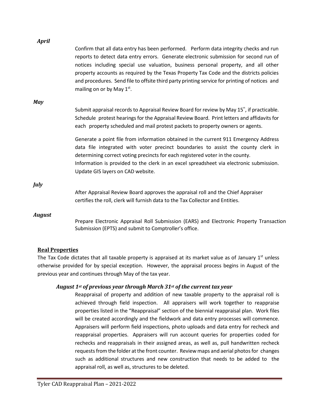| Confirm that all data entry has been performed. Perform data integrity checks and run<br>reports to detect data entry errors. Generate electronic submission for second run of<br>notices including special use valuation, business personal property, and all other<br>property accounts as required by the Texas Property Tax Code and the districts policies<br>and procedures. Send file to offsite third party printing service for printing of notices and<br>mailing on or by May 1st.<br>Submit appraisal records to Appraisal Review Board for review by May 15 <sup>th</sup> , if practicable.<br>Schedule protest hearings for the Appraisal Review Board. Print letters and affidavits for<br>each property scheduled and mail protest packets to property owners or agents.<br>Generate a point file from information obtained in the current 911 Emergency Address<br>data file integrated with voter precinct boundaries to assist the county clerk in<br>determining correct voting precincts for each registered voter in the county.<br>Information is provided to the clerk in an excel spreadsheet via electronic submission.<br>Update GIS layers on CAD website.<br>After Appraisal Review Board approves the appraisal roll and the Chief Appraiser<br>certifies the roll, clerk will furnish data to the Tax Collector and Entities.<br>Prepare Electronic Appraisal Roll Submission (EARS) and Electronic Property Transaction<br>Submission (EPTS) and submit to Comptroller's office. | <b>April</b> |  |
|------------------------------------------------------------------------------------------------------------------------------------------------------------------------------------------------------------------------------------------------------------------------------------------------------------------------------------------------------------------------------------------------------------------------------------------------------------------------------------------------------------------------------------------------------------------------------------------------------------------------------------------------------------------------------------------------------------------------------------------------------------------------------------------------------------------------------------------------------------------------------------------------------------------------------------------------------------------------------------------------------------------------------------------------------------------------------------------------------------------------------------------------------------------------------------------------------------------------------------------------------------------------------------------------------------------------------------------------------------------------------------------------------------------------------------------------------------------------------------------------------------------|--------------|--|
|                                                                                                                                                                                                                                                                                                                                                                                                                                                                                                                                                                                                                                                                                                                                                                                                                                                                                                                                                                                                                                                                                                                                                                                                                                                                                                                                                                                                                                                                                                                  |              |  |
|                                                                                                                                                                                                                                                                                                                                                                                                                                                                                                                                                                                                                                                                                                                                                                                                                                                                                                                                                                                                                                                                                                                                                                                                                                                                                                                                                                                                                                                                                                                  | May          |  |
|                                                                                                                                                                                                                                                                                                                                                                                                                                                                                                                                                                                                                                                                                                                                                                                                                                                                                                                                                                                                                                                                                                                                                                                                                                                                                                                                                                                                                                                                                                                  |              |  |
|                                                                                                                                                                                                                                                                                                                                                                                                                                                                                                                                                                                                                                                                                                                                                                                                                                                                                                                                                                                                                                                                                                                                                                                                                                                                                                                                                                                                                                                                                                                  |              |  |
|                                                                                                                                                                                                                                                                                                                                                                                                                                                                                                                                                                                                                                                                                                                                                                                                                                                                                                                                                                                                                                                                                                                                                                                                                                                                                                                                                                                                                                                                                                                  | July         |  |
|                                                                                                                                                                                                                                                                                                                                                                                                                                                                                                                                                                                                                                                                                                                                                                                                                                                                                                                                                                                                                                                                                                                                                                                                                                                                                                                                                                                                                                                                                                                  |              |  |
|                                                                                                                                                                                                                                                                                                                                                                                                                                                                                                                                                                                                                                                                                                                                                                                                                                                                                                                                                                                                                                                                                                                                                                                                                                                                                                                                                                                                                                                                                                                  | August       |  |

#### <span id="page-38-0"></span>**Real Properties**

The Tax Code dictates that all taxable property is appraised at its market value as of January  $1<sup>st</sup>$  unless otherwise provided for by special exception. However, the appraisal process begins in August of the previous year and continues through May of the tax year.

#### *August 1st of previous year through March 31st of the current tax year*

Reappraisal of property and addition of new taxable property to the appraisal roll is achieved through field inspection. All appraisers will work together to reappraise properties listed in the "Reappraisal" section of the biennial reappraisal plan. Work files will be created accordingly and the fieldwork and data entry processes will commence. Appraisers will perform field inspections, photo uploads and data entry for recheck and reappraisal properties. Appraisers will run account queries for properties coded for rechecks and reappraisals in their assigned areas, as well as, pull handwritten recheck requests from the folder at the front counter. Review maps and aerial photos for changes such as additional structures and new construction that needs to be added to the appraisal roll, as well as, structures to be deleted.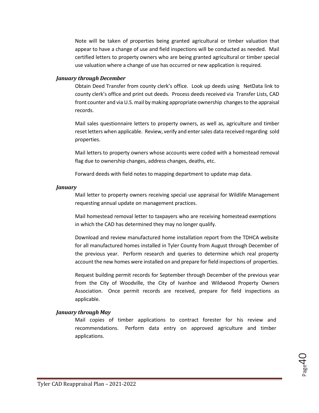Note will be taken of properties being granted agricultural or timber valuation that appear to have a change of use and field inspections will be conducted as needed. Mail certified letters to property owners who are being granted agricultural or timber special use valuation where a change of use has occurred or new application is required.

#### *January through December*

Obtain Deed Transfer from county clerk's office. Look up deeds using NetData link to county clerk's office and print out deeds. Process deeds received via Transfer Lists, CAD front counter and via U.S. mail by making appropriate ownership changes to the appraisal records.

Mail sales questionnaire letters to property owners, as well as, agriculture and timber resetletters when applicable. Review, verify and entersales data received regarding sold properties.

Mail letters to property owners whose accounts were coded with a homestead removal flag due to ownership changes, address changes, deaths, etc.

Forward deeds with field notes to mapping department to update map data.

#### *January*

Mail letter to property owners receiving special use appraisal for Wildlife Management requesting annual update on management practices.

Mail homestead removal letter to taxpayers who are receiving homestead exemptions in which the CAD has determined they may no longer qualify.

Download and review manufactured home installation report from the TDHCA website for all manufactured homes installed in Tyler County from August through December of the previous year. Perform research and queries to determine which real property account the new homes were installed on and prepare forfield inspections of properties.

Request building permit records for September through December of the previous year from the City of Woodville, the City of Ivanhoe and Wildwood Property Owners Association. Once permit records are received, prepare for field inspections as applicable.

#### *January through May*

Mail copies of timber applications to contract forester for his review and recommendations. Perform data entry on approved agriculture and timber applications.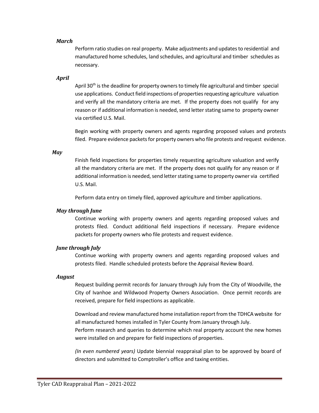#### *March*

Perform ratio studies on real property. Make adjustments and updates to residential and manufactured home schedules, land schedules, and agricultural and timber schedules as necessary.

#### *April*

April 30<sup>th</sup> is the deadline for property owners to timely file agricultural and timber special use applications. Conduct field inspections of properties requesting agriculture valuation and verify all the mandatory criteria are met. If the property does not qualify for any reason or if additional information is needed, send letter stating same to property owner via certified U.S. Mail.

Begin working with property owners and agents regarding proposed values and protests filed. Prepare evidence packets for property owners who file protests and request evidence.

#### *May*

Finish field inspections for properties timely requesting agriculture valuation and verify all the mandatory criteria are met. If the property does not qualify for any reason or if additional information is needed, send letterstating same to property owner via certified U.S. Mail.

Perform data entry on timely filed, approved agriculture and timber applications.

#### *May through June*

Continue working with property owners and agents regarding proposed values and protests filed. Conduct additional field inspections if necessary. Prepare evidence packets for property owners who file protests and request evidence.

#### *June through July*

Continue working with property owners and agents regarding proposed values and protests filed. Handle scheduled protests before the Appraisal Review Board.

#### *August*

Request building permit records for January through July from the City of Woodville, the City of Ivanhoe and Wildwood Property Owners Association. Once permit records are received, prepare for field inspections as applicable.

Download and review manufactured home installation reportfrom the TDHCA website for all manufactured homes installed in Tyler County from January through July.

Perform research and queries to determine which real property account the new homes were installed on and prepare for field inspections of properties.

*(In even numbered years)* Update biennial reappraisal plan to be approved by board of directors and submitted to Comptroller's office and taxing entities.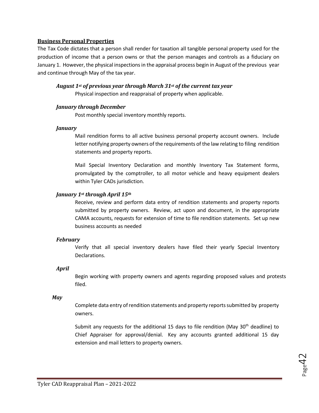#### <span id="page-41-0"></span>**Business Personal Properties**

The Tax Code dictates that a person shall render for taxation all tangible personal property used for the production of income that a person owns or that the person manages and controls as a fiduciary on January 1. However, the physical inspections in the appraisal process begin in August of the previous year and continue through May of the tax year.

#### *August 1st of previous year through March 31st of the current tax year*

Physical inspection and reappraisal of property when applicable.

#### *January through December*

Post monthly special inventory monthly reports.

#### *January*

Mail rendition forms to all active business personal property account owners. Include letter notifying property owners of the requirements of the law relating to filing rendition statements and property reports.

Mail Special Inventory Declaration and monthly Inventory Tax Statement forms, promulgated by the comptroller, to all motor vehicle and heavy equipment dealers within Tyler CADs jurisdiction.

#### *January 1st through April 15th*

Receive, review and perform data entry of rendition statements and property reports submitted by property owners. Review, act upon and document, in the appropriate CAMA accounts, requests for extension of time to file rendition statements. Set up new business accounts as needed

#### *February*

Verify that all special inventory dealers have filed their yearly Special Inventory Declarations.

#### *April*

Begin working with property owners and agents regarding proposed values and protests filed.

#### *May*

Complete data entry of rendition statements and property reports submitted by property owners.

Submit any requests for the additional 15 days to file rendition (May  $30<sup>th</sup>$  deadline) to Chief Appraiser for approval/denial. Key any accounts granted additional 15 day extension and mail letters to property owners.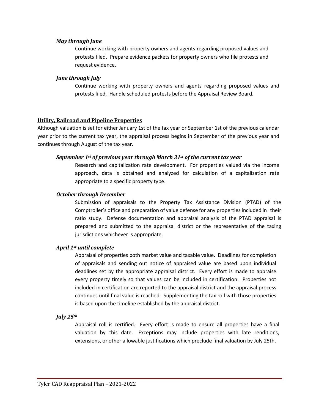#### *May through June*

Continue working with property owners and agents regarding proposed values and protests filed. Prepare evidence packets for property owners who file protests and request evidence.

#### *June through July*

Continue working with property owners and agents regarding proposed values and protests filed. Handle scheduled protests before the Appraisal Review Board.

#### <span id="page-42-0"></span>**Utility, Railroad and Pipeline Properties**

Although valuation is set for either January 1st of the tax year or September 1st of the previous calendar year prior to the current tax year, the appraisal process begins in September of the previous year and continues through August of the tax year.

#### *September 1st of previous year through March 31st of the current tax year*

Research and capitalization rate development. For properties valued via the income approach, data is obtained and analyzed for calculation of a capitalization rate appropriate to a specific property type.

#### *October through December*

Submission of appraisals to the Property Tax Assistance Division (PTAD) of the Comptroller's office and preparation of value defense for any properties included in their ratio study. Defense documentation and appraisal analysis of the PTAD appraisal is prepared and submitted to the appraisal district or the representative of the taxing jurisdictions whichever is appropriate.

#### *April 1st until complete*

Appraisal of properties both market value and taxable value. Deadlines for completion of appraisals and sending out notice of appraised value are based upon individual deadlines set by the appropriate appraisal district. Every effort is made to appraise every property timely so that values can be included in certification. Properties not included in certification are reported to the appraisal district and the appraisal process continues until final value is reached. Supplementing the tax roll with those properties is based upon the timeline established by the appraisal district.

#### *July 25th*

Appraisal roll is certified. Every effort is made to ensure all properties have a final valuation by this date. Exceptions may include properties with late renditions, extensions, or other allowable justifications which preclude final valuation by July 25th.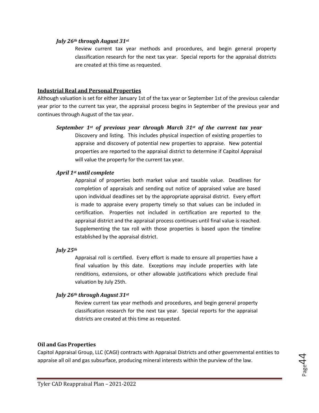#### *July 26th through August 31st*

Review current tax year methods and procedures, and begin general property classification research for the next tax year. Special reports for the appraisal districts are created at this time as requested.

#### <span id="page-43-0"></span>**Industrial Real and Personal Properties**

Although valuation is set for either January 1st of the tax year or September 1st of the previous calendar year prior to the current tax year, the appraisal process begins in September of the previous year and continues through August of the tax year.

*September 1st of previous year through March 31st of the current tax year* Discovery and listing. This includes physical inspection of existing properties to appraise and discovery of potential new properties to appraise. New potential properties are reported to the appraisal district to determine if Capitol Appraisal will value the property for the current tax year.

#### *April 1st until complete*

Appraisal of properties both market value and taxable value. Deadlines for completion of appraisals and sending out notice of appraised value are based upon individual deadlines set by the appropriate appraisal district. Every effort is made to appraise every property timely so that values can be included in certification. Properties not included in certification are reported to the appraisal district and the appraisal process continues until final value is reached. Supplementing the tax roll with those properties is based upon the timeline established by the appraisal district.

#### *July 25th*

Appraisal roll is certified. Every effort is made to ensure all properties have a final valuation by this date. Exceptions may include properties with late renditions, extensions, or other allowable justifications which preclude final valuation by July 25th.

#### *July 26th through August 31st*

Review current tax year methods and procedures, and begin general property classification research for the next tax year. Special reports for the appraisal districts are created at this time as requested.

#### <span id="page-43-1"></span>**Oil and Gas Properties**

Capitol Appraisal Group, LLC (CAGI) contracts with Appraisal Districts and other governmental entities to appraise all oil and gas subsurface, producing mineral interests within the purview of the law.

 $P$ age $44$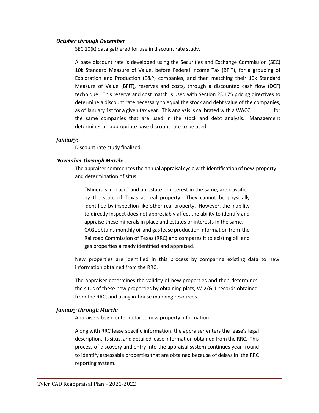#### *October through December*

SEC 10(k) data gathered for use in discount rate study.

A base discount rate is developed using the Securities and Exchange Commission (SEC) 10k Standard Measure of Value, before Federal Income Tax (BFIT), for a grouping of Exploration and Production (E&P) companies, and then matching their 10k Standard Measure of Value (BFIT), reserves and costs, through a discounted cash flow (DCF) technique. This reserve and cost match is used with Section 23.175 pricing directives to determine a discount rate necessary to equal the stock and debt value of the companies, as of January 1st for a given tax year. This analysis is calibrated with a WACC for the same companies that are used in the stock and debt analysis. Management determines an appropriate base discount rate to be used.

#### *January:*

Discount rate study finalized.

#### *November through March:*

The appraiser commencesthe annual appraisal cycle with identification of new property and determination of situs.

"Minerals in place" and an estate or interest in the same, are classified by the state of Texas as real property. They cannot be physically identified by inspection like other real property. However, the inability to directly inspect does not appreciably affect the ability to identify and appraise these minerals in place and estates or interests in the same. CAGL obtains monthly oil and gaslease production information from the Railroad Commission of Texas (RRC) and compares it to existing oil and gas properties already identified and appraised.

New properties are identified in this process by comparing existing data to new information obtained from the RRC.

The appraiser determines the validity of new properties and then determines the situs of these new properties by obtaining plats, W-2/G-1 records obtained from the RRC, and using in-house mapping resources.

#### *January through March:*

Appraisers begin enter detailed new property information.

Along with RRC lease specific information, the appraiser enters the lease's legal description, its situs, and detailed lease information obtained from the RRC. This process of discovery and entry into the appraisal system continues year round to identify assessable properties that are obtained because of delays in the RRC reporting system.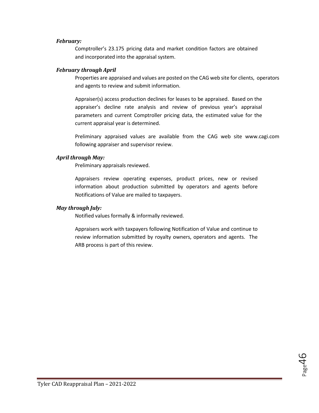#### *February:*

Comptroller's 23.175 pricing data and market condition factors are obtained and incorporated into the appraisal system.

#### *February through April*

Properties are appraised and values are posted on the CAG web site for clients, operators and agents to review and submit information.

Appraiser(s) access production declines for leases to be appraised. Based on the appraiser's decline rate analysis and review of previous year's appraisal parameters and current Comptroller pricing data, the estimated value for the current appraisal year is determined.

Preliminary appraised values are available from the CAG web site [www.cagi.com](http://www.cagi.com/) following appraiser and supervisor review.

#### *April through May:*

Preliminary appraisals reviewed.

Appraisers review operating expenses, product prices, new or revised information about production submitted by operators and agents before Notifications of Value are mailed to taxpayers.

#### *May through July:*

Notified values formally & informally reviewed.

Appraisers work with taxpayers following Notification of Value and continue to review information submitted by royalty owners, operators and agents. The ARB process is part of this review.